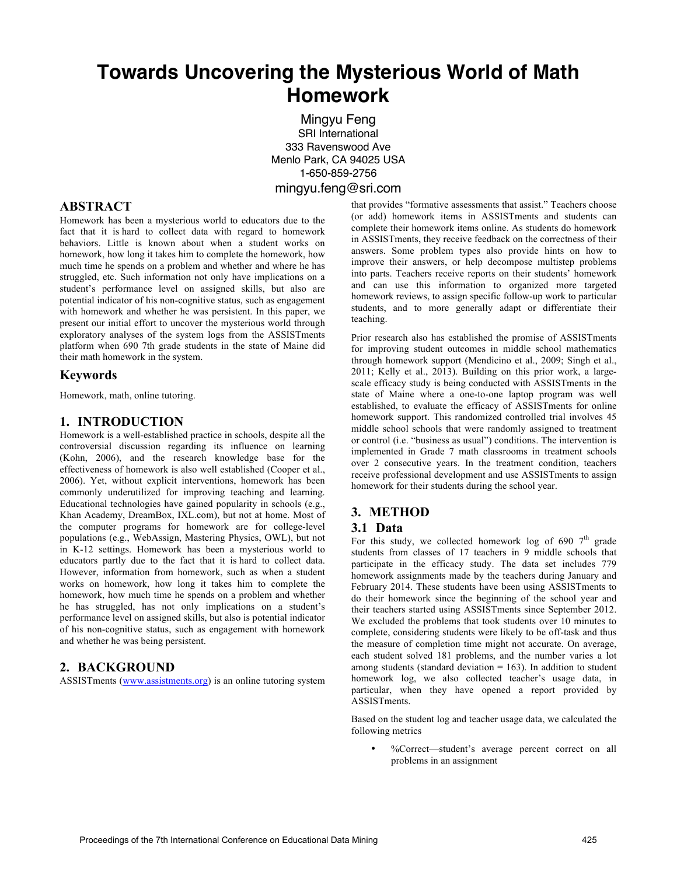# **Towards Uncovering the Mysterious World of Math Homework**

Mingyu Feng SRI International 333 Ravenswood Ave Menlo Park, CA 94025 USA 1-650-859-2756 mingyu.feng@sri.com

# **ABSTRACT**

Homework has been a mysterious world to educators due to the fact that it is hard to collect data with regard to homework behaviors. Little is known about when a student works on homework, how long it takes him to complete the homework, how much time he spends on a problem and whether and where he has struggled, etc. Such information not only have implications on a student's performance level on assigned skills, but also are potential indicator of his non-cognitive status, such as engagement with homework and whether he was persistent. In this paper, we present our initial effort to uncover the mysterious world through exploratory analyses of the system logs from the ASSISTments platform when 690 7th grade students in the state of Maine did their math homework in the system.

## **Keywords**

Homework, math, online tutoring.

## **1. INTRODUCTION**

Homework is a well-established practice in schools, despite all the controversial discussion regarding its influence on learning (Kohn, 2006), and the research knowledge base for the effectiveness of homework is also well established (Cooper et al., 2006). Yet, without explicit interventions, homework has been commonly underutilized for improving teaching and learning. Educational technologies have gained popularity in schools (e.g., Khan Academy, DreamBox, IXL.com), but not at home. Most of the computer programs for homework are for college-level populations (e.g., WebAssign, Mastering Physics, OWL), but not in K-12 settings. Homework has been a mysterious world to educators partly due to the fact that it is hard to collect data. However, information from homework, such as when a student works on homework, how long it takes him to complete the homework, how much time he spends on a problem and whether he has struggled, has not only implications on a student's performance level on assigned skills, but also is potential indicator of his non-cognitive status, such as engagement with homework and whether he was being persistent.

# **2. BACKGROUND**

ASSISTments (www.assistments.org) is an online tutoring system

that provides "formative assessments that assist." Teachers choose (or add) homework items in ASSISTments and students can complete their homework items online. As students do homework in ASSISTments, they receive feedback on the correctness of their answers. Some problem types also provide hints on how to improve their answers, or help decompose multistep problems into parts. Teachers receive reports on their students' homework and can use this information to organized more targeted homework reviews, to assign specific follow-up work to particular students, and to more generally adapt or differentiate their teaching.

Prior research also has established the promise of ASSISTments for improving student outcomes in middle school mathematics through homework support (Mendicino et al., 2009; Singh et al., 2011; Kelly et al., 2013). Building on this prior work, a largescale efficacy study is being conducted with ASSISTments in the state of Maine where a one-to-one laptop program was well established, to evaluate the efficacy of ASSISTments for online homework support. This randomized controlled trial involves 45 middle school schools that were randomly assigned to treatment or control (i.e. "business as usual") conditions. The intervention is implemented in Grade 7 math classrooms in treatment schools over 2 consecutive years. In the treatment condition, teachers receive professional development and use ASSISTments to assign homework for their students during the school year.

# **3. METHOD**

#### **3.1 Data**

For this study, we collected homework log of 690  $7<sup>th</sup>$  grade students from classes of 17 teachers in 9 middle schools that participate in the efficacy study. The data set includes 779 homework assignments made by the teachers during January and February 2014. These students have been using ASSISTments to do their homework since the beginning of the school year and their teachers started using ASSISTments since September 2012. We excluded the problems that took students over 10 minutes to complete, considering students were likely to be off-task and thus the measure of completion time might not accurate. On average, each student solved 181 problems, and the number varies a lot among students (standard deviation  $= 163$ ). In addition to student homework log, we also collected teacher's usage data, in particular, when they have opened a report provided by ASSISTments.

Based on the student log and teacher usage data, we calculated the following metrics

• %Correct—student's average percent correct on all problems in an assignment